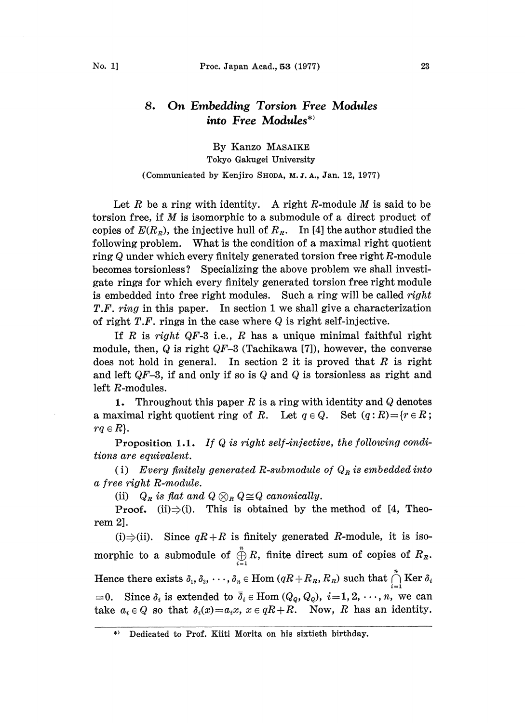## 8, On Embedding Torsion Free Modules into Free Modules\*

By Kanzo MASAIKE Tokyo Gakugei University

(Communicated by Kenjiro SHODA, M. J. A., Jan. 12, 1977)

Let R be a ring with identity. A right R-module M is said to be torsion free, if M is isomorphic to <sup>a</sup> submodule of <sup>a</sup> direct product of copies of  $E(R<sub>R</sub>)$ , the injective hull of  $R<sub>R</sub>$ . In [4] the author studied the following problem. What is the condition of a maximal right quotient ring Q under which every finitely generated torsion free right R-module becomes torsionless? Specializing the above problem we shall investigate rings for which every finitely generated torsion free right module is embedded into free right modules. Such a ring will be called *right* T.F. ring in this paper. In section 1 we shall give a characterization of right  $T.F.$  rings in the case where  $Q$  is right self-injective.

If R is right QF-3 i.e., R has a unique minimal faithful right module, then,  $Q$  is right  $QF-3$  (Tachikawa [7]), however, the converse does not hold in general. In section 2 it is proved that  $R$  is right and left  $QF-3$ , if and only if so is Q and Q is torsionless as right and left R-modules.

1. Throughout this paper R is a ring with identity and  $Q$  denotes a maximal right quotient ring of R. Let  $q \in Q$ . Set  $(q: R) = \{r \in R\}$ ;  $rq \in R$ .

**Proposition 1.1.** If Q is right self-injective, the following conditions are equivalent.

(i) Every finitely generated R-submodule of  $Q_R$  is embedded into a free right R-module.

(ii)  $Q_R$  is flat and  $Q \otimes_R Q \cong Q$  canonically.

**Proof.** (ii) $\Rightarrow$ (i). This is obtained by the method of [4, Theorem 2].

(i) $\Rightarrow$ (ii). Since  $qR+R$  is finitely generated R-module, it is isomorphic to a submodule of  $\bigoplus_{i=1}^{n} R$ , finite direct sum of copies of  $R_n$ . Hence there exists  $\delta_1, \delta_2, \, \cdots, \delta_n \in \text{Hom } (qR + R_{_R}, R_{_R})$  such that  $\bigcap\limits_{i=1}^n \text{Ker } \delta_i$  $=0$ . Since  $\delta_i$  is extended to  $\bar{\delta}_i \in \text{Hom}(Q_q, Q_q)$ ,  $i=1, 2, \dots, n$ , we can take  $a_i \in Q$  so that  $\delta_i(x)=a_ix$ ,  $x \in qR + R$ . Now, R has an identity.

Dedicated to Prof. Kiiti Morita on his sixtieth birthday.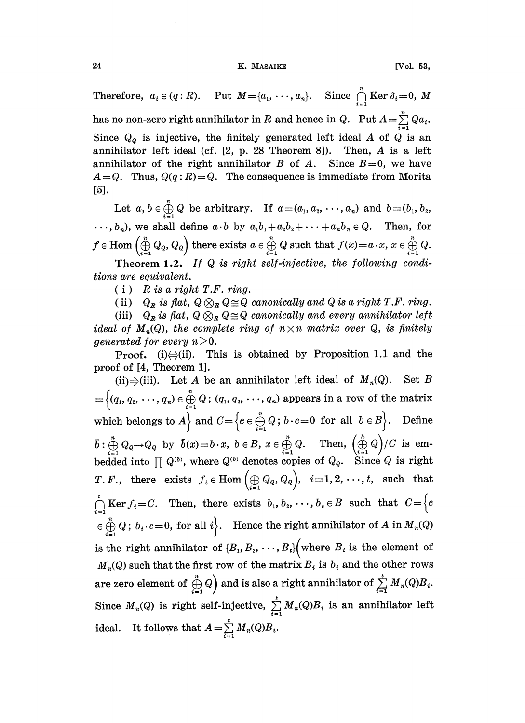## 24 K. MASAIKE [Vol. 53,

Therefore,  $a_i \in (q: R)$ . Put  $M = \{a_1, \dots, a_n\}$ . Since  $\bigcap_{i=1}^n \text{Ker } \delta_i = 0$ , M has no non-zero right annihilator in  $R$  and hence in  $Q$ . Put  $A = \sum\limits_{i=1}^n Q a_i$ . Since  $Q_{\mathcal{Q}}$  is injective, the finitely generated left ideal A of  $Q$  is an annihilator left ideal (cf. [2, p. 28 Theorem 8]). Then, A is a left annihilator left ideal (cf.  $[2, p. 28$  Theorem 8]). annihilator of the right annihilator B of A. Since  $B=0$ , we have  $A=Q$ . Thus,  $Q(q: R)=Q$ . The consequence is immediate from Morita [5].

Let  $a, b \in \bigoplus_{n=0}^n Q$  be arbitrary. If  $a=(a_1, a_2, \dots, a_n)$  and  $b=(b_1, b_2, \dots, b_n)$  $\cdots$ ,  $b_n$ ), we shall define  $a \cdot b$  by  $a_1b_1 + a_2b_2 + \cdots + a_nb_n \in Q$ . Then, for  $f\in \mathrm{Hom}\left(\bigoplus_{i=1}^n Q_{Q},Q_{Q}\right) \text{ there exists } a\in \bigoplus_{i=1}^n Q \text{ such that } f(x)\!=\!a\!\cdot\! x,\, x\in \bigoplus_{i=1}^n Q.$ 

Theorem 1.2. If  $Q$  is right self-injective, the following conditions are equivalent.

 $(i)$  R is a right T.F. ring.

(ii)  $Q_R$  is flat,  $Q \otimes_R Q \cong Q$  canonically and Q is a right T.F. ring.

(ii)  $Q_R$  is flat,  $Q \otimes_R Q$ <br>(iii)  $Q_R$  is flat,  $Q \otimes_R Q$  $\cong$ Q canonically and every annihilator left<br>e ring of  $n \times n$  matrix over Q, is finitely ideal of  $M_n(Q)$ , the complete ring of  $n \times n$  matrix over Q, is finitely generated for every  $n > 0$ .

**Proof.** (i) $\ominus$ (ii). This is obtained by Proposition 1.1 and the proof of [4, Theorem 1].

(ii) $\Rightarrow$ (iii). Let A be an annihilator left ideal of  $M_n(Q)$ . Set B  $\{(q_1, q_2, \dots, q_n) \in \bigoplus_{i=1}^n Q$ ;  $(q_1, q_2, \dots, q_n)$  appears in a row of the matrix<br>iich belongs to  $A$  and  $C = \{c \in \bigoplus_{i=1}^n Q : b \cdot c = 0 \text{ for all } b \in B\}$ . Define which belongs to  $A\}$  and  $C = \{c \in \bigoplus_{i=1}^{n} Q$ ;  $b \cdot c = 0$  for all  $b \in B\}$ . Define  $\overline{b}: \bigoplus_{i=1}^{n} Q_{Q} \to Q_{Q}$  by  $\overline{b}(x)=b \cdot x$ ,  $b \in B$ ,  $x \in \bigoplus_{i=1}^{n} Q$ . Then,  $\left(\bigoplus_{i=1}^{h} Q\right)/C$  is embedded into  $\prod Q^{(b)}$ , where  $Q^{(b)}$  denotes copies of  $Q_{q}$ . Since  $Q$  is right *T.F.*, there exists  $f_i \in \text{Hom}(\bigoplus Q_q, Q_q)$ ,  $i=1, 2, \dots, t$ , such that  $\int_{i=1}^{t} \text{Ker } f_i = C.$  Then, there exists  $b_1, b_2, \dots, b_t \in B$  such that  $C = \Big\{c \Big\}$  $\in \bigoplus_{i=1}^{n} Q$ ;  $b_i \cdot c = 0$ , for all  $i$ . Hence the right annihilator of A in  $M_n(Q)$  $\bigoplus_{i=1}^{n} Q$ ;  $b_i \cdot c = 0$ , for all  $i$ . Hence the right annihilator of A in  $M_n(Q)$ <br>the right annihilator of  $\{B_1, B_2, \dots, B_t\}$  (where  $B_i$  is the element of<br> $I_n(Q)$  such that the first row of the matrix  $B_i$  is  $b_i$  and is the right annihilator of  $\{B_1, B_2, \dots, B_t\}$  where  $B_i$  is the element of  $M_n(Q)$  such that the first row of the matrix  $B_i$  is  $b_i$  and the other rows are zero element of  $\bigoplus\limits_{i=1}^{\infty}Q\Big)$  and is also a right annihilator of  $\sum\limits_{i=1}^{\infty}M_{n}(Q)B_{i}.$ Since  $M_n(Q)$  is right self-injective,  $\sum_{i=1}^{t} M_n(Q)B_i$  is an annihilator left ideal. It follows that  $A = \sum_{i=1}^{t} M_n(Q)B_i$ .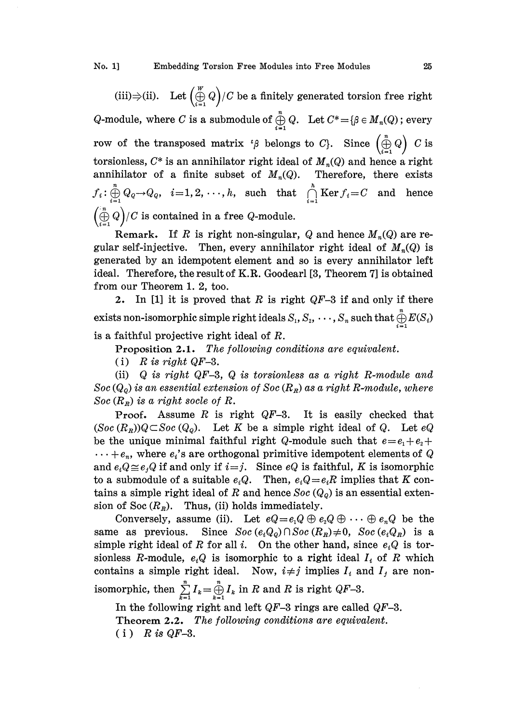No. 1] Embedding Torsion Free Modules into Free Modules 25

 $\frac{w}{2}$ (iii) $\Rightarrow$ (ii). Let  $(\bigoplus_{i=1}^{\infty} Q)/C$  be a finitely generated torsion free right<br>odule where *C* is a submodule of  $\bigoplus_{i=1}^{n} Q$ . Let  $C^* = {R \in M \choose C}$ ; eveny  $Q\text{-module, where }C\text{ is a submodule of }\bigoplus\limits_{i=1}^n Q.\ \ \ \text{Let }C^*{=}\{\beta\in M_n(Q)\text{; every }% \text{ and }C^*\text{ is a simple }Q\}.$ row of the transposed matrix ' $\beta$  belongs to C}. Since  $\left(\bigoplus_{i=1}^{n} Q\right)$  C is torsionless,  $C^*$  is an annihilator right ideal of  $M_n(Q)$  and hence a right annihilator of a finite subset of  $M_n(Q)$ . Therefore, there exists  $f_i: \bigoplus\limits_{i=1}^n Q_{Q} {\rightarrow} Q_{Q}, \hspace{.2cm} i\!=\!1,2,\,\cdot\cdot\cdot,h, \hspace{.2cm} \text{such \hspace{.2cm} that \hspace{.2cm} \bigcap\limits_{i=1}^n \text{Ker}\, f_i\!=\!C \hspace{.2cm} \text{and} \hspace{.2cm} \text{hence}$  $\left(\bigoplus_{i=1}^{n} Q\right) / C$  is contained in a free Q-module.

Remark. If R is right non-singular, Q and hence  $M_n(Q)$  are regular self-injective. Then, every annihilator right ideal of  $M_n(Q)$  is generated by an idempotent element and so is every annihilator left ideal. Therefore, the result of K.R. Goodearl [3, Theorem 7] is obtained from our Theorem 1.2, too.

2. In [1] it is proved that  $R$  is right  $QF-3$  if and only if there exists non-isomorphic simple right ideals  $S_1, S_2, \,\cdots, S_n$  such that  $\bigoplus\limits_{i=1}^n E(S_i)$ is a faithful projective right ideal of R.

Proposition 2.1. The following conditions are equivalent.

(i) R is right QF-3.

(ii)  $Q$  is right  $QF-3$ ,  $Q$  is torsionless as a right R-module and  $Soc(Q<sub>Q</sub>)$  is an essential extension of  $Soc(R<sub>R</sub>)$  as a right R-module, where Soc  $(R<sub>R</sub>)$  is a right socle of R.

Proof. Assume  $R$  is right  $QF-3$ . It is easily checked that  $(Soc(R<sub>R</sub>))Q \subset Soc(Q<sub>o</sub>)$ . Let K be a simple right ideal of Q. Let eQ be the unique minimal faithful right Q-module such that  $e = e_1 + e_2 +$  $\cdots + e_n$ , where  $e_i$ 's are orthogonal primitive idempotent elements of Q and  $e_i Q \cong e_j Q$  if and only if  $i=j$ . Since  $e_i$  is faithful, K is isomorphic to a submodule of a suitable  $e_iQ$ . Then,  $e_iQ=e_iR$  implies that K contains a simple right ideal of R and hence  $Soc(Q<sub>o</sub>)$  is an essential extension of Soc  $(R<sub>R</sub>)$ . Thus, (ii) holds immediately.

Conversely, assume (ii). Let  $eQ=e_1Q \oplus e_2Q \oplus \cdots \oplus e_nQ$  be the same as previous. Since  $Soc(e_iQ_o) \cap Soc(R_n) \neq 0$ ,  $Soc(e_iQ_n)$  is a simple right ideal of R for all i. On the other hand, since  $e_iQ$  is torsionless R-module,  $e_iQ$  is isomorphic to a right ideal  $I_i$  of R which contains a simple right ideal. Now,  $i \neq j$  implies  $I_i$  and  $I_j$  are non-

isomorphic, then  $\sum_{k=1}^{\infty} I_k = \bigoplus_{k=1}^{\infty} I_k$  in R and R is right QF-3.

In the following right and left QF-3 rings are called QF-3. Theorem 2.2. The following conditions are equivalent.  $(i)$  R is QF-3.